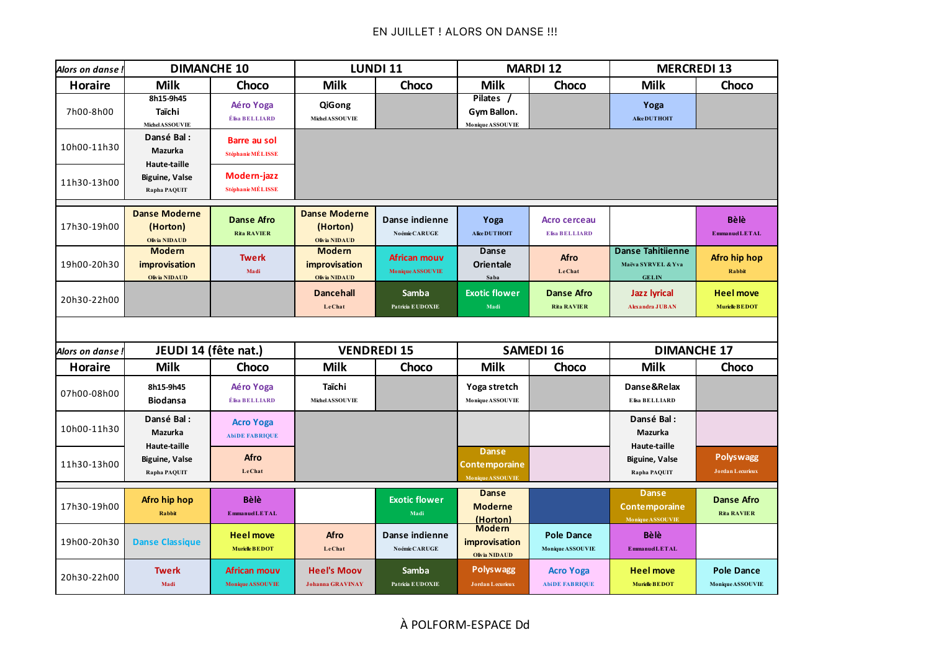| Alors on danse ! | <b>DIMANCHE 10</b>                                    |                                           | LUNDI 11                                                 |                                  | <b>MARDI 12</b>                                          |                                              | <b>MERCREDI 13</b>                                             |                                             |
|------------------|-------------------------------------------------------|-------------------------------------------|----------------------------------------------------------|----------------------------------|----------------------------------------------------------|----------------------------------------------|----------------------------------------------------------------|---------------------------------------------|
| <b>Horaire</b>   | <b>Milk</b>                                           | Choco                                     | <b>Milk</b>                                              | Choco                            | <b>Milk</b>                                              | Choco                                        | <b>Milk</b>                                                    | Choco                                       |
| 7h00-8h00        | 8h15-9h45<br>Taïchi<br><b>Michel ASSOUVIE</b>         | Aéro Yoga<br>Élisa BELLIARD               | QiGong<br>Michel ASSOUVIE                                |                                  | Pilates /<br>Gym Ballon.<br>Monique ASSOUVIE             |                                              | Yoga<br>Alice DUT HOIT                                         |                                             |
| 10h00-11h30      | Dansé Bal:<br>Mazurka<br><b>Haute-taille</b>          | <b>Barre au sol</b><br>Stéphanie MÉLISSE  |                                                          |                                  |                                                          |                                              |                                                                |                                             |
| 11h30-13h00      | <b>Biguine, Valse</b><br>Rapha PAQUIT                 | Modern-jazz<br>Stéphanie MÉLISSE          |                                                          |                                  |                                                          |                                              |                                                                |                                             |
| 17h30-19h00      | <b>Danse Moderne</b><br>(Horton)<br>Olivia NIDAUD     | <b>Danse Afro</b><br><b>Rita RAVIER</b>   | <b>Danse Moderne</b><br>(Horton)<br><b>Olivia NIDAUD</b> | Danse indienne<br>Noémie CARUGE  | Yoga<br>Alice DUT HOIT                                   | <b>Acro cerceau</b><br><b>Elisa BELLIARD</b> |                                                                | <b>Bèlè</b><br><b>EmmanuelLETAL</b>         |
| 19h00-20h30      | <b>Modern</b><br>improvisation<br>Olivia NIDAUD       | <b>Twerk</b><br>Madi                      | <b>Modern</b><br>improvisation<br>Olivia NIDAUD          | African mouv<br>Monique ASSOUVIE | Danse<br>Orientale<br>Saba                               | Afro<br>LeChat                               | <b>Danse Tahitiienne</b><br>Maëva SYRVEL & Yva<br><b>GELIN</b> | <b>Afro hip hop</b><br>Rabbit               |
| 20h30-22h00      |                                                       |                                           | <b>Dancehall</b><br>LeChat                               | <b>Samba</b><br>Patricia EUDOXIE | <b>Exotic flower</b><br>Madi                             | <b>Danse Afro</b><br><b>Rita RAVIER</b>      | <b>Jazz lyrical</b><br><b>Alexandra JUBAN</b>                  | <b>Heel move</b><br><b>Murielle BEDOT</b>   |
|                  |                                                       |                                           |                                                          |                                  |                                                          |                                              |                                                                |                                             |
| Alors on danse   | JEUDI 14 (fête nat.)                                  |                                           | <b>VENDREDI 15</b>                                       |                                  | <b>SAMEDI 16</b>                                         |                                              | <b>DIMANCHE 17</b>                                             |                                             |
| <b>Horaire</b>   | <b>Milk</b>                                           | Choco                                     | <b>Milk</b>                                              | Choco                            | <b>Milk</b>                                              | Choco                                        | <b>Milk</b>                                                    | Choco                                       |
| 07h00-08h00      | 8h15-9h45<br><b>Biodansa</b>                          | Aéro Yoga<br>É lisa BELLIARD              | Taïchi<br>Michel ASSOUVIE                                |                                  | Yoga stretch<br>Monique ASSOUVIE                         |                                              | Danse&Relax<br>Elisa BELLIARD                                  |                                             |
| 10h00-11h30      | Dansé Bal:<br><b>Mazurka</b>                          | <b>Acro Yoga</b><br><b>AbiDE FABRIQUE</b> |                                                          |                                  |                                                          |                                              | Dansé Bal:<br><b>Mazurka</b>                                   |                                             |
| 11h30-13h00      | Haute-taille<br><b>Biguine, Valse</b><br>Rapha PAQUIT | Afro<br>LeChat                            |                                                          |                                  | <b>Danse</b><br><b>Contemporaine</b><br>Monique ASSOUVIE |                                              | <b>Haute-taille</b><br><b>Biguine, Valse</b><br>Rapha PAQUIT   | <b>Polyswagg</b><br><b>Jordan Lecurieux</b> |
| 17h30-19h00      | Afro hip hop<br>Rabbit                                | Bèlè<br><b>EmmanuelLETAL</b>              |                                                          | <b>Exotic flower</b><br>Madi     | <b>Danse</b><br><b>Moderne</b><br>(Horton)               |                                              | <b>Danse</b><br><b>Contemporaine</b><br>Monique ASSOUVIE       | <b>Danse Afro</b><br><b>Rita RAVIER</b>     |
| 19h00-20h30      | <b>Danse Classique</b>                                | <b>Heel move</b><br><b>Murielle BEDOT</b> | Afro<br>LeChat                                           | Danse indienne<br>Noémie CARUGE  | <b>Modern</b><br>improvisation<br>Olivia NIDAUD          | <b>Pole Dance</b><br>Monique ASSOUVIE        | Bèlè<br><b>E</b> mmanuelLETAL                                  |                                             |
| 20h30-22h00      | <b>Twerk</b><br>Madi                                  | <b>African mouv</b><br>Monique ASSOUVIE   | <b>Heel's Moov</b><br><b>Johanna GRAVINAY</b>            | <b>Samba</b><br>Patricia EUDOXIE | <b>Polyswagg</b><br><b>Jordan Lecurieux</b>              | <b>Acro Yoga</b><br><b>AbiDE FABRIQUE</b>    | <b>Heel move</b><br><b>Murielle BEDOT</b>                      | <b>Pole Dance</b><br>Monique ASSOUVIE       |